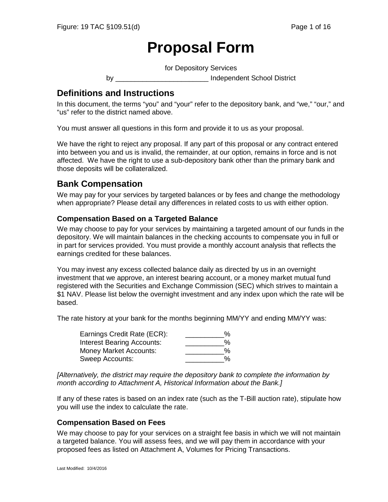# **Proposal Form**

for Depository Services

by **Example 20** Independent School District

# **Definitions and Instructions**

In this document, the terms "you" and "your" refer to the depository bank, and "we," "our," and "us" refer to the district named above.

You must answer all questions in this form and provide it to us as your proposal.

We have the right to reject any proposal. If any part of this proposal or any contract entered into between you and us is invalid, the remainder, at our option, remains in force and is not affected. We have the right to use a sub-depository bank other than the primary bank and those deposits will be collateralized.

# **Bank Compensation**

We may pay for your services by targeted balances or by fees and change the methodology when appropriate? Please detail any differences in related costs to us with either option.

#### **Compensation Based on a Targeted Balance**

We may choose to pay for your services by maintaining a targeted amount of our funds in the depository. We will maintain balances in the checking accounts to compensate you in full or in part for services provided. You must provide a monthly account analysis that reflects the earnings credited for these balances.

You may invest any excess collected balance daily as directed by us in an overnight investment that we approve, an interest bearing account, or a money market mutual fund registered with the Securities and Exchange Commission (SEC) which strives to maintain a \$1 NAV. Please list below the overnight investment and any index upon which the rate will be based.

The rate history at your bank for the months beginning MM/YY and ending MM/YY was:

| Earnings Credit Rate (ECR):       | % |
|-----------------------------------|---|
| <b>Interest Bearing Accounts:</b> | % |
| Money Market Accounts:            | % |
| Sweep Accounts:                   | % |

*[Alternatively, the district may require the depository bank to complete the information by month according to Attachment A, Historical Information about the Bank.]*

If any of these rates is based on an index rate (such as the T-Bill auction rate), stipulate how you will use the index to calculate the rate.

#### **Compensation Based on Fees**

We may choose to pay for your services on a straight fee basis in which we will not maintain a targeted balance. You will assess fees, and we will pay them in accordance with your proposed fees as listed on Attachment A, Volumes for Pricing Transactions.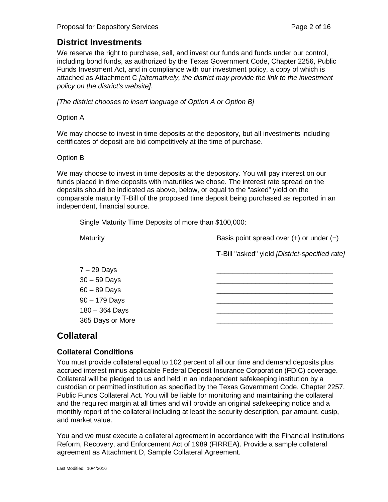# **District Investments**

We reserve the right to purchase, sell, and invest our funds and funds under our control, including bond funds, as authorized by the Texas Government Code, Chapter 2256, Public Funds Investment Act, and in compliance with our investment policy, a copy of which is attached as Attachment C *[alternatively, the district may provide the link to the investment policy on the district's website]*.

*[The district chooses to insert language of Option A or Option B]*

#### Option A

We may choose to invest in time deposits at the depository, but all investments including certificates of deposit are bid competitively at the time of purchase.

#### Option B

We may choose to invest in time deposits at the depository. You will pay interest on our funds placed in time deposits with maturities we chose. The interest rate spread on the deposits should be indicated as above, below, or equal to the "asked" yield on the comparable maturity T-Bill of the proposed time deposit being purchased as reported in an independent, financial source.

Single Maturity Time Deposits of more than \$100,000:

| Maturity                                                                                 | Basis point spread over $(+)$ or under $(-)$   |  |
|------------------------------------------------------------------------------------------|------------------------------------------------|--|
|                                                                                          | T-Bill "asked" yield [District-specified rate] |  |
| $7 - 29$ Days<br>$30 - 59$ Days<br>$60 - 89$ Days<br>$90 - 179$ Days<br>$180 - 364$ Days |                                                |  |
| 365 Days or More                                                                         |                                                |  |

# **Collateral**

# **Collateral Conditions**

You must provide collateral equal to 102 percent of all our time and demand deposits plus accrued interest minus applicable Federal Deposit Insurance Corporation (FDIC) coverage. Collateral will be pledged to us and held in an independent safekeeping institution by a custodian or permitted institution as specified by the Texas Government Code, Chapter 2257, Public Funds Collateral Act. You will be liable for monitoring and maintaining the collateral and the required margin at all times and will provide an original safekeeping notice and a monthly report of the collateral including at least the security description, par amount, cusip, and market value.

You and we must execute a collateral agreement in accordance with the Financial Institutions Reform, Recovery, and Enforcement Act of 1989 (FIRREA). Provide a sample collateral agreement as Attachment D, Sample Collateral Agreement.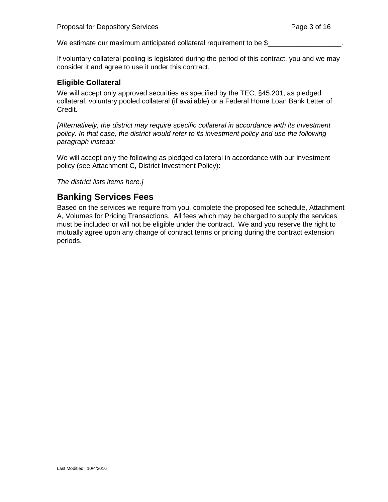We estimate our maximum anticipated collateral requirement to be \$

If voluntary collateral pooling is legislated during the period of this contract, you and we may consider it and agree to use it under this contract.

#### **Eligible Collateral**

We will accept only approved securities as specified by the TEC, §45.201, as pledged collateral, voluntary pooled collateral (if available) or a Federal Home Loan Bank Letter of Credit.

*[Alternatively, the district may require specific collateral in accordance with its investment policy. In that case, the district would refer to its investment policy and use the following paragraph instead:*

We will accept only the following as pledged collateral in accordance with our investment policy (see Attachment C, District Investment Policy):

*The district lists items here.]* 

# **Banking Services Fees**

Based on the services we require from you, complete the proposed fee schedule, Attachment A, Volumes for Pricing Transactions. All fees which may be charged to supply the services must be included or will not be eligible under the contract. We and you reserve the right to mutually agree upon any change of contract terms or pricing during the contract extension periods.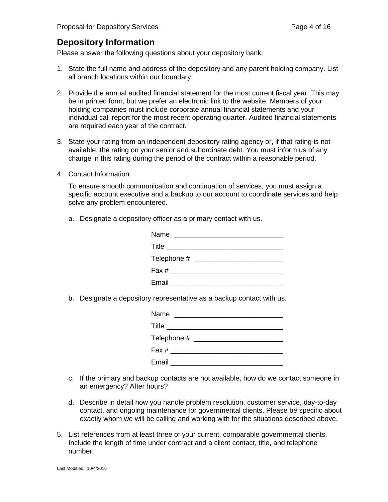# **Depository Information**

Please answer the following questions about your depository bank.

- 1. State the full name and address of the depository and any parent holding company. List all branch locations within our boundary.
- 2. Provide the annual audited financial statement for the most current fiscal year. This may be in printed form, but we prefer an electronic link to the website. Members of your holding companies must include corporate annual financial statements and your individual call report for the most recent operating quarter. Audited financial statements are required each year of the contract.
- 3. State your rating from an independent depository rating agency or, if that rating is not available, the rating on your senior and subordinate debt. You must inform us of any change in this rating during the period of the contract within a reasonable period.
- 4. Contact Information

To ensure smooth communication and continuation of services, you must assign a specific account executive and a backup to our account to coordinate services and help solve any problem encountered.

a. Designate a depository officer as a primary contact with us.

| Name<br><u> 1980 - John Stone, Amerikaansk politiker (* 1901)</u> |  |
|-------------------------------------------------------------------|--|
|                                                                   |  |
|                                                                   |  |
|                                                                   |  |
|                                                                   |  |

b. Designate a depository representative as a backup contact with us.

| Name                         |  |                                                      |  |
|------------------------------|--|------------------------------------------------------|--|
|                              |  | Title __________________________________             |  |
|                              |  |                                                      |  |
| Fax # ______________________ |  |                                                      |  |
|                              |  | Email <b>Executive Communist Communist Communist</b> |  |

- c. If the primary and backup contacts are not available, how do we contact someone in an emergency? After hours?
- d. Describe in detail how you handle problem resolution, customer service, day-to-day contact, and ongoing maintenance for governmental clients. Please be specific about exactly whom we will be calling and working with for the situations described above.
- 5. List references from at least three of your current, comparable governmental clients. Include the length of time under contract and a client contact, title, and telephone number.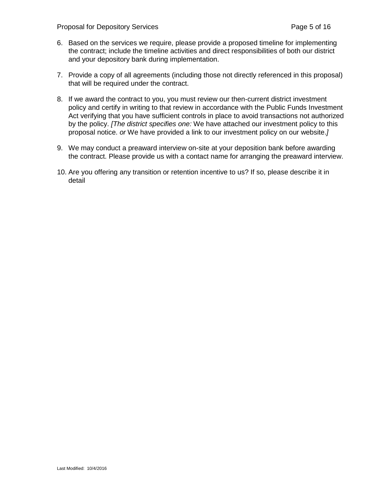Proposal for Depository Services **Proposal for Depository Services** Page 5 of 16

- 6. Based on the services we require, please provide a proposed timeline for implementing the contract; include the timeline activities and direct responsibilities of both our district and your depository bank during implementation.
- 7. Provide a copy of all agreements (including those not directly referenced in this proposal) that will be required under the contract.
- 8. If we award the contract to you, you must review our then-current district investment policy and certify in writing to that review in accordance with the Public Funds Investment Act verifying that you have sufficient controls in place to avoid transactions not authorized by the policy. *[The district specifies one:* We have attached our investment policy to this proposal notice. *or* We have provided a link to our investment policy on our website.*]*
- 9. We may conduct a preaward interview on-site at your deposition bank before awarding the contract. Please provide us with a contact name for arranging the preaward interview.
- 10. Are you offering any transition or retention incentive to us? If so, please describe it in detail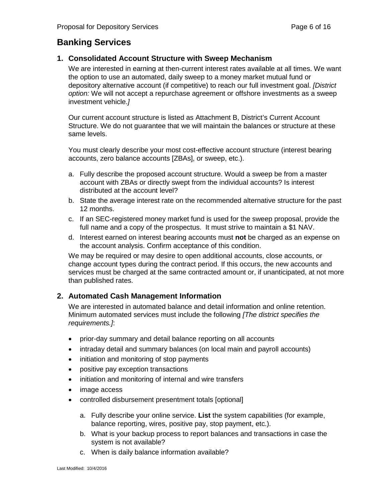# **Banking Services**

## **1. Consolidated Account Structure with Sweep Mechanism**

We are interested in earning at then-current interest rates available at all times. We want the option to use an automated, daily sweep to a money market mutual fund or depository alternative account (if competitive) to reach our full investment goal. *[District option:* We will not accept a repurchase agreement or offshore investments as a sweep investment vehicle.*]*

Our current account structure is listed as Attachment B, District's Current Account Structure. We do not guarantee that we will maintain the balances or structure at these same levels.

You must clearly describe your most cost-effective account structure (interest bearing accounts, zero balance accounts [ZBAs], or sweep, etc.).

- a. Fully describe the proposed account structure. Would a sweep be from a master account with ZBAs or directly swept from the individual accounts? Is interest distributed at the account level?
- b. State the average interest rate on the recommended alternative structure for the past 12 months.
- c. If an SEC-registered money market fund is used for the sweep proposal, provide the full name and a copy of the prospectus. It must strive to maintain a \$1 NAV.
- d. Interest earned on interest bearing accounts must **not** be charged as an expense on the account analysis. Confirm acceptance of this condition.

We may be required or may desire to open additional accounts, close accounts, or change account types during the contract period. If this occurs, the new accounts and services must be charged at the same contracted amount or, if unanticipated, at not more than published rates.

# **2. Automated Cash Management Information**

We are interested in automated balance and detail information and online retention. Minimum automated services must include the following *[The district specifies the requirements.]*:

- prior-day summary and detail balance reporting on all accounts
- intraday detail and summary balances (on local main and payroll accounts)
- initiation and monitoring of stop payments
- positive pay exception transactions
- initiation and monitoring of internal and wire transfers
- image access
- controlled disbursement presentment totals [optional]
	- a. Fully describe your online service. **List** the system capabilities (for example, balance reporting, wires, positive pay, stop payment, etc.).
	- b. What is your backup process to report balances and transactions in case the system is not available?
	- c. When is daily balance information available?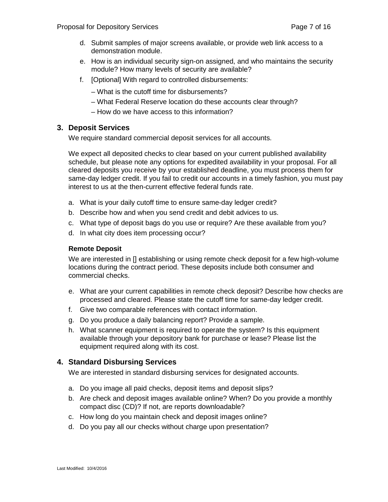- d. Submit samples of major screens available, or provide web link access to a demonstration module.
- e. How is an individual security sign-on assigned, and who maintains the security module? How many levels of security are available?
- f. [Optional] With regard to controlled disbursements:
	- What is the cutoff time for disbursements?
	- What Federal Reserve location do these accounts clear through?
	- How do we have access to this information?

#### **3. Deposit Services**

We require standard commercial deposit services for all accounts.

We expect all deposited checks to clear based on your current published availability schedule, but please note any options for expedited availability in your proposal. For all cleared deposits you receive by your established deadline, you must process them for same-day ledger credit. If you fail to credit our accounts in a timely fashion, you must pay interest to us at the then-current effective federal funds rate.

- a. What is your daily cutoff time to ensure same-day ledger credit?
- b. Describe how and when you send credit and debit advices to us.
- c. What type of deposit bags do you use or require? Are these available from you?
- d. In what city does item processing occur?

#### **Remote Deposit**

We are interested in II establishing or using remote check deposit for a few high-volume locations during the contract period. These deposits include both consumer and commercial checks.

- e. What are your current capabilities in remote check deposit? Describe how checks are processed and cleared. Please state the cutoff time for same-day ledger credit.
- f. Give two comparable references with contact information.
- g. Do you produce a daily balancing report? Provide a sample.
- h. What scanner equipment is required to operate the system? Is this equipment available through your depository bank for purchase or lease? Please list the equipment required along with its cost.

#### **4. Standard Disbursing Services**

We are interested in standard disbursing services for designated accounts.

- a. Do you image all paid checks, deposit items and deposit slips?
- b. Are check and deposit images available online? When? Do you provide a monthly compact disc (CD)? If not, are reports downloadable?
- c. How long do you maintain check and deposit images online?
- d. Do you pay all our checks without charge upon presentation?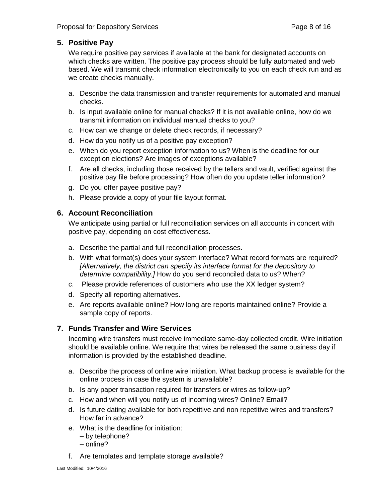## **5. Positive Pay**

We require positive pay services if available at the bank for designated accounts on which checks are written. The positive pay process should be fully automated and web based. We will transmit check information electronically to you on each check run and as we create checks manually.

- a. Describe the data transmission and transfer requirements for automated and manual checks.
- b. Is input available online for manual checks? If it is not available online, how do we transmit information on individual manual checks to you?
- c. How can we change or delete check records, if necessary?
- d. How do you notify us of a positive pay exception?
- e. When do you report exception information to us? When is the deadline for our exception elections? Are images of exceptions available?
- f. Are all checks, including those received by the tellers and vault, verified against the positive pay file before processing? How often do you update teller information?
- g. Do you offer payee positive pay?
- h. Please provide a copy of your file layout format.

## **6. Account Reconciliation**

We anticipate using partial or full reconciliation services on all accounts in concert with positive pay, depending on cost effectiveness.

- a. Describe the partial and full reconciliation processes.
- b. With what format(s) does your system interface? What record formats are required? *[Alternatively, the district can specify its interface format for the depository to determine compatibility.]* How do you send reconciled data to us? When?
- c. Please provide references of customers who use the XX ledger system?
- d. Specify all reporting alternatives.
- e. Are reports available online? How long are reports maintained online? Provide a sample copy of reports.

# **7. Funds Transfer and Wire Services**

Incoming wire transfers must receive immediate same-day collected credit. Wire initiation should be available online. We require that wires be released the same business day if information is provided by the established deadline.

- a. Describe the process of online wire initiation. What backup process is available for the online process in case the system is unavailable?
- b. Is any paper transaction required for transfers or wires as follow-up?
- c. How and when will you notify us of incoming wires? Online? Email?
- d. Is future dating available for both repetitive and non repetitive wires and transfers? How far in advance?
- e. What is the deadline for initiation:
	- by telephone?
	- online?
- f. Are templates and template storage available?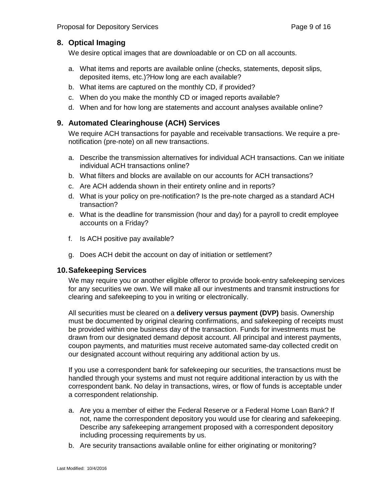#### **8. Optical Imaging**

We desire optical images that are downloadable or on CD on all accounts.

- a. What items and reports are available online (checks, statements, deposit slips, deposited items, etc.)?How long are each available?
- b. What items are captured on the monthly CD, if provided?
- c. When do you make the monthly CD or imaged reports available?
- d. When and for how long are statements and account analyses available online?

#### **9. Automated Clearinghouse (ACH) Services**

We require ACH transactions for payable and receivable transactions. We require a prenotification (pre-note) on all new transactions.

- a. Describe the transmission alternatives for individual ACH transactions. Can we initiate individual ACH transactions online?
- b. What filters and blocks are available on our accounts for ACH transactions?
- c. Are ACH addenda shown in their entirety online and in reports?
- d. What is your policy on pre-notification? Is the pre-note charged as a standard ACH transaction?
- e. What is the deadline for transmission (hour and day) for a payroll to credit employee accounts on a Friday?
- f. Is ACH positive pay available?
- g. Does ACH debit the account on day of initiation or settlement?

#### **10.Safekeeping Services**

We may require you or another eligible offeror to provide book-entry safekeeping services for any securities we own. We will make all our investments and transmit instructions for clearing and safekeeping to you in writing or electronically.

All securities must be cleared on a **delivery versus payment (DVP)** basis. Ownership must be documented by original clearing confirmations, and safekeeping of receipts must be provided within one business day of the transaction. Funds for investments must be drawn from our designated demand deposit account. All principal and interest payments, coupon payments, and maturities must receive automated same-day collected credit on our designated account without requiring any additional action by us.

If you use a correspondent bank for safekeeping our securities, the transactions must be handled through your systems and must not require additional interaction by us with the correspondent bank. No delay in transactions, wires, or flow of funds is acceptable under a correspondent relationship.

- a. Are you a member of either the Federal Reserve or a Federal Home Loan Bank? If not, name the correspondent depository you would use for clearing and safekeeping. Describe any safekeeping arrangement proposed with a correspondent depository including processing requirements by us.
- b. Are security transactions available online for either originating or monitoring?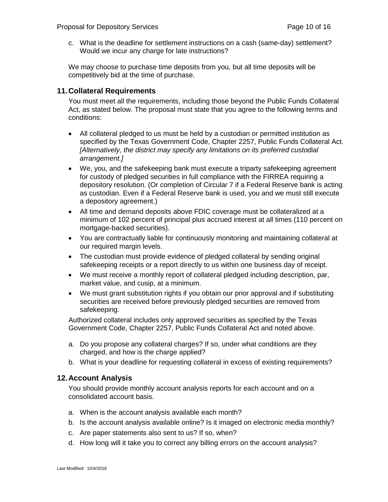c. What is the deadline for settlement instructions on a cash (same-day) settlement? Would we incur any charge for late instructions?

We may choose to purchase time deposits from you, but all time deposits will be competitively bid at the time of purchase.

#### **11.Collateral Requirements**

You must meet all the requirements, including those beyond the Public Funds Collateral Act, as stated below. The proposal must state that you agree to the following terms and conditions:

- All collateral pledged to us must be held by a custodian or permitted institution as specified by the Texas Government Code, Chapter 2257, Public Funds Collateral Act. *[Alternatively, the district may specify any limitations on its preferred custodial arrangement.]*
- We, you, and the safekeeping bank must execute a triparty safekeeping agreement for custody of pledged securities in full compliance with the FIRREA requiring a depository resolution. (Or completion of Circular 7 if a Federal Reserve bank is acting as custodian. Even if a Federal Reserve bank is used, you and we must still execute a depository agreement.)
- All time and demand deposits above FDIC coverage must be collateralized at a minimum of 102 percent of principal plus accrued interest at all times (110 percent on mortgage-backed securities).
- You are contractually liable for continuously monitoring and maintaining collateral at our required margin levels.
- The custodian must provide evidence of pledged collateral by sending original safekeeping receipts or a report directly to us within one business day of receipt.
- We must receive a monthly report of collateral pledged including description, par, market value, and cusip, at a minimum.
- We must grant substitution rights if you obtain our prior approval and if substituting securities are received before previously pledged securities are removed from safekeeping.

Authorized collateral includes only approved securities as specified by the Texas Government Code, Chapter 2257, Public Funds Collateral Act and noted above.

- a. Do you propose any collateral charges? If so, under what conditions are they charged, and how is the charge applied?
- b. What is your deadline for requesting collateral in excess of existing requirements?

#### **12.Account Analysis**

You should provide monthly account analysis reports for each account and on a consolidated account basis.

- a. When is the account analysis available each month?
- b. Is the account analysis available online? Is it imaged on electronic media monthly?
- c. Are paper statements also sent to us? If so, when?
- d. How long will it take you to correct any billing errors on the account analysis?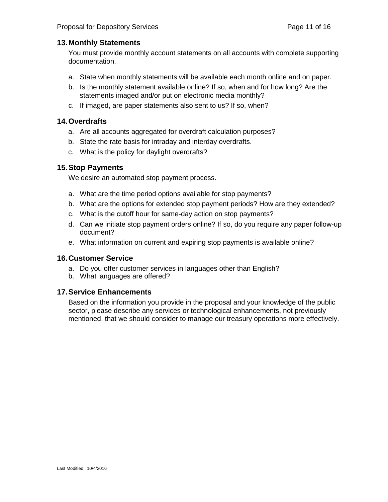#### **13.Monthly Statements**

You must provide monthly account statements on all accounts with complete supporting documentation.

- a. State when monthly statements will be available each month online and on paper.
- b. Is the monthly statement available online? If so, when and for how long? Are the statements imaged and/or put on electronic media monthly?
- c. If imaged, are paper statements also sent to us? If so, when?

#### **14.Overdrafts**

- a. Are all accounts aggregated for overdraft calculation purposes?
- b. State the rate basis for intraday and interday overdrafts.
- c. What is the policy for daylight overdrafts?

#### **15.Stop Payments**

We desire an automated stop payment process.

- a. What are the time period options available for stop payments?
- b. What are the options for extended stop payment periods? How are they extended?
- c. What is the cutoff hour for same-day action on stop payments?
- d. Can we initiate stop payment orders online? If so, do you require any paper follow-up document?
- e. What information on current and expiring stop payments is available online?

#### **16.Customer Service**

- a. Do you offer customer services in languages other than English?
- b. What languages are offered?

#### **17.Service Enhancements**

Based on the information you provide in the proposal and your knowledge of the public sector, please describe any services or technological enhancements, not previously mentioned, that we should consider to manage our treasury operations more effectively.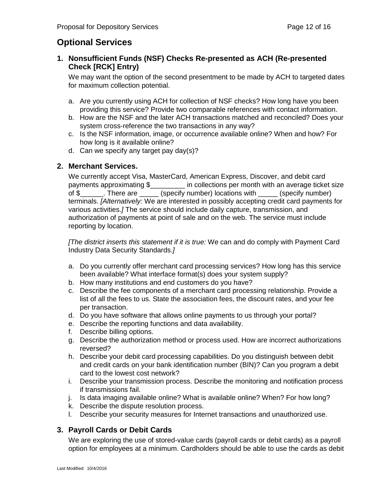# **Optional Services**

## **1. Nonsufficient Funds (NSF) Checks Re-presented as ACH (Re-presented Check [RCK] Entry)**

We may want the option of the second presentment to be made by ACH to targeted dates for maximum collection potential.

- a. Are you currently using ACH for collection of NSF checks? How long have you been providing this service? Provide two comparable references with contact information.
- b. How are the NSF and the later ACH transactions matched and reconciled? Does your system cross-reference the two transactions in any way?
- c. Is the NSF information, image, or occurrence available online? When and how? For how long is it available online?
- d. Can we specify any target pay day(s)?

# **2. Merchant Services.**

We currently accept Visa, MasterCard, American Express, Discover, and debit card<br>payments approximating \$\_\_\_\_\_\_\_\_\_ in collections per month with an average ticke  $\_$  in collections per month with an average ticket size of \$\_\_\_\_\_\_. There are \_\_\_\_\_ (specify number) locations with \_\_\_\_\_ (specify number) terminals. *[Alternatively:* We are interested in possibly accepting credit card payments for various activities.*]* The service should include daily capture, transmission, and authorization of payments at point of sale and on the web. The service must include reporting by location.

*[The district inserts this statement if it is true:* We can and do comply with Payment Card Industry Data Security Standards.*]*

- a. Do you currently offer merchant card processing services? How long has this service been available? What interface format(s) does your system supply?
- b. How many institutions and end customers do you have?
- c. Describe the fee components of a merchant card processing relationship. Provide a list of all the fees to us. State the association fees, the discount rates, and your fee per transaction.
- d. Do you have software that allows online payments to us through your portal?
- e. Describe the reporting functions and data availability.
- f. Describe billing options.
- g. Describe the authorization method or process used. How are incorrect authorizations reversed?
- h. Describe your debit card processing capabilities. Do you distinguish between debit and credit cards on your bank identification number (BIN)? Can you program a debit card to the lowest cost network?
- i. Describe your transmission process. Describe the monitoring and notification process if transmissions fail.
- j. Is data imaging available online? What is available online? When? For how long?
- k. Describe the dispute resolution process.
- l. Describe your security measures for Internet transactions and unauthorized use.

# **3. Payroll Cards or Debit Cards**

We are exploring the use of stored-value cards (payroll cards or debit cards) as a payroll option for employees at a minimum. Cardholders should be able to use the cards as debit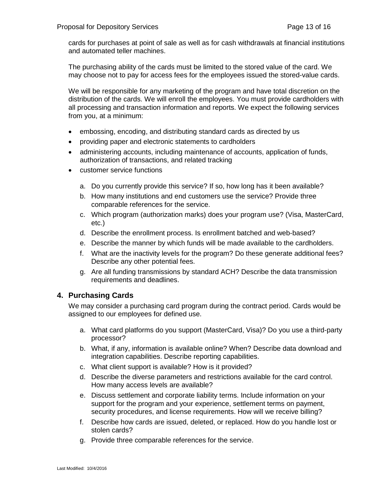cards for purchases at point of sale as well as for cash withdrawals at financial institutions and automated teller machines.

The purchasing ability of the cards must be limited to the stored value of the card. We may choose not to pay for access fees for the employees issued the stored-value cards.

We will be responsible for any marketing of the program and have total discretion on the distribution of the cards. We will enroll the employees. You must provide cardholders with all processing and transaction information and reports. We expect the following services from you, at a minimum:

- embossing, encoding, and distributing standard cards as directed by us
- providing paper and electronic statements to cardholders
- administering accounts, including maintenance of accounts, application of funds, authorization of transactions, and related tracking
- customer service functions
	- a. Do you currently provide this service? If so, how long has it been available?
	- b. How many institutions and end customers use the service? Provide three comparable references for the service.
	- c. Which program (authorization marks) does your program use? (Visa, MasterCard, etc.)
	- d. Describe the enrollment process. Is enrollment batched and web-based?
	- e. Describe the manner by which funds will be made available to the cardholders.
	- f. What are the inactivity levels for the program? Do these generate additional fees? Describe any other potential fees.
	- g. Are all funding transmissions by standard ACH? Describe the data transmission requirements and deadlines.

#### **4. Purchasing Cards**

We may consider a purchasing card program during the contract period. Cards would be assigned to our employees for defined use.

- a. What card platforms do you support (MasterCard, Visa)? Do you use a third-party processor?
- b. What, if any, information is available online? When? Describe data download and integration capabilities. Describe reporting capabilities.
- c. What client support is available? How is it provided?
- d. Describe the diverse parameters and restrictions available for the card control. How many access levels are available?
- e. Discuss settlement and corporate liability terms. Include information on your support for the program and your experience, settlement terms on payment, security procedures, and license requirements. How will we receive billing?
- f. Describe how cards are issued, deleted, or replaced. How do you handle lost or stolen cards?
- g. Provide three comparable references for the service.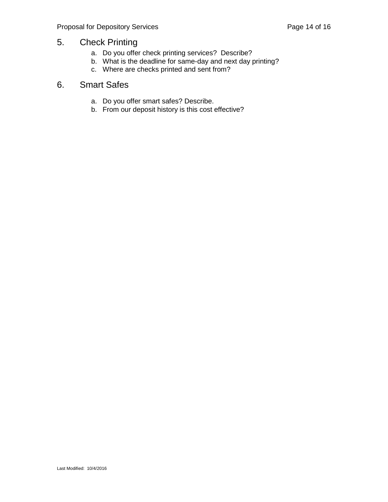# 5. Check Printing

- a. Do you offer check printing services? Describe?
- b. What is the deadline for same-day and next day printing?
- c. Where are checks printed and sent from?

# 6. Smart Safes

- a. Do you offer smart safes? Describe.
- b. From our deposit history is this cost effective?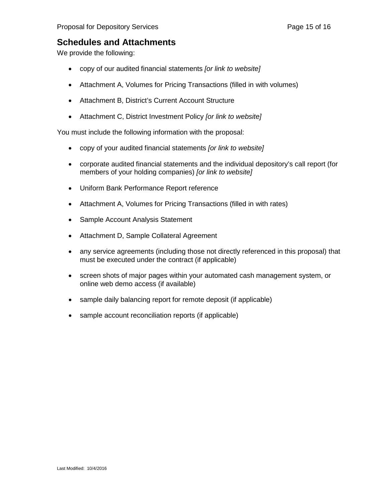# **Schedules and Attachments**

We provide the following:

- copy of our audited financial statements *[or link to website]*
- Attachment A, Volumes for Pricing Transactions (filled in with volumes)
- Attachment B, District's Current Account Structure
- Attachment C, District Investment Policy *[or link to website]*

You must include the following information with the proposal:

- copy of your audited financial statements *[or link to website]*
- corporate audited financial statements and the individual depository's call report (for members of your holding companies) *[or link to website]*
- Uniform Bank Performance Report reference
- Attachment A, Volumes for Pricing Transactions (filled in with rates)
- Sample Account Analysis Statement
- Attachment D, Sample Collateral Agreement
- any service agreements (including those not directly referenced in this proposal) that must be executed under the contract (if applicable)
- screen shots of major pages within your automated cash management system, or online web demo access (if available)
- sample daily balancing report for remote deposit (if applicable)
- sample account reconciliation reports (if applicable)